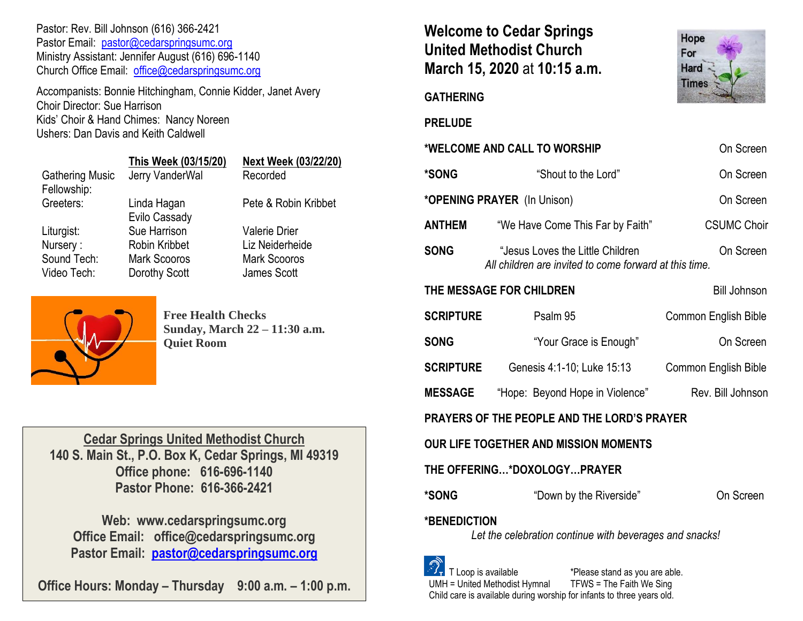Pastor: Rev. Bill Johnson (616) 366-2421 Pastor Email: [pastor@cedarspringsumc.org](mailto:pastor@cedarspringsumc.org) Ministry Assistant: Jennifer August (616) 696-1140 Church Office Email: [office@cedarspringsumc.org](mailto:office@cedarspringsumc.org)

Accompanists: Bonnie Hitchingham, Connie Kidder, Janet Avery Choir Director: Sue Harrison Kids' Choir & Hand Chimes: Nancy Noreen Ushers: Dan Davis and Keith Caldwell

|                        | This Week (03/15/20) | Next Week (03/22/20) |
|------------------------|----------------------|----------------------|
| <b>Gathering Music</b> | Jerry VanderWal      | Recorded             |
| Fellowship:            |                      |                      |
| Greeters:              | Linda Hagan          | Pete & Robin Kribbet |
|                        | Evilo Cassady        |                      |
| Liturgist:             | Sue Harrison         | <b>Valerie Drier</b> |
| Nursery:               | Robin Kribbet        | Liz Neiderheide      |
| Sound Tech:            | <b>Mark Scooros</b>  | <b>Mark Scooros</b>  |
| Video Tech:            | Dorothy Scott        | James Scott          |



**Free Health Checks Sunday, March 22 – 11:30 a.m. Quiet Room**

**Cedar Springs United Methodist Church 140 S. Main St., P.O. Box K, Cedar Springs, MI 49319 Office phone: 616-696-1140 Pastor Phone: 616-366-2421**

**Web: www.cedarspringsumc.org Office Email: office@cedarspringsumc.org Pastor Email: [pastor@cedarspringsumc.org](mailto:pastor@cedarspringsumc.org)**

**Office Hours: Monday – Thursday 9:00 a.m. – 1:00 p.m.**

# **Welcome to Cedar Springs United Methodist Church March 15, 2020** at **10:15 a.m.**



#### **GATHERING**

**PRELUDE** 

|                                                                         | WELCUME AND CALL TU WURSHIP                                                                | UII SCIEEII          |  |  |  |
|-------------------------------------------------------------------------|--------------------------------------------------------------------------------------------|----------------------|--|--|--|
| *SONG                                                                   | "Shout to the Lord"                                                                        | On Screen            |  |  |  |
| *OPENING PRAYER (In Unison)<br>On Screen                                |                                                                                            |                      |  |  |  |
| <b>ANTHEM</b>                                                           | "We Have Come This Far by Faith"                                                           | <b>CSUMC Choir</b>   |  |  |  |
| <b>SONG</b>                                                             | "Jesus Loves the Little Children<br>All children are invited to come forward at this time. | On Screen            |  |  |  |
| THE MESSAGE FOR CHILDREN<br><b>Bill Johnson</b>                         |                                                                                            |                      |  |  |  |
| <b>SCRIPTURE</b>                                                        | Psalm 95                                                                                   | Common English Bible |  |  |  |
| <b>SONG</b>                                                             | "Your Grace is Enough"                                                                     | On Screen            |  |  |  |
| <b>SCRIPTURE</b>                                                        | Genesis 4:1-10; Luke 15:13                                                                 | Common English Bible |  |  |  |
| <b>MESSAGE</b>                                                          | "Hope: Beyond Hope in Violence"                                                            | Rev. Bill Johnson    |  |  |  |
| <b>PRAYERS OF THE PEOPLE AND THE LORD'S PRAYER</b>                      |                                                                                            |                      |  |  |  |
| <b>OUR LIFE TOGETHER AND MISSION MOMENTS</b>                            |                                                                                            |                      |  |  |  |
| THE OFFERING*DOXOLOGYPRAYER                                             |                                                                                            |                      |  |  |  |
| *SONG                                                                   | "Down by the Riverside"                                                                    | On Screen            |  |  |  |
| *BENEDICTION<br>Let the celebration continue with beverages and snacks! |                                                                                            |                      |  |  |  |
| $\mathbb{Q}_p$                                                          |                                                                                            |                      |  |  |  |

**\*WELCOME AND CALL TO WORSHIP** On Screen

 $\frac{37}{1}$  T Loop is available  $\frac{1}{1}$  \*Please stand as you are able.<br>UMH = United Methodist Hymnal TFWS = The Faith We Sing  $UMH = United Method$  Methodist Hymnal Child care is available during worship for infants to three years old.